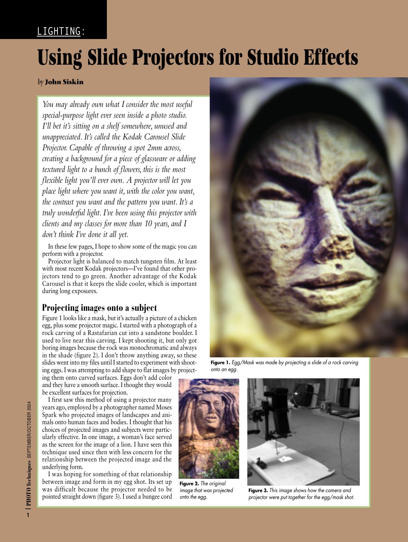## LIGHTING:

# **Using Slide Projectors for Studio Effects**

#### *by* **John Siskin**

*You may already own what I consider the most useful special-purpose light ever seen inside a photo studio. I'll bet it's sitting on a shelf somewhere, unused and unappreciated. It's called the Kodak Carousel Slide Projector. Capable of throwing a spot 2mm across, creating a background for a piece of glassware or adding textured light to a bunch of flowers, this is the most flexible light you'll ever own. A projector will let you place light where you want it, with the color you want, the contrast you want and the pattern you want. It's a truly wonderful light. I've been using this projector with clients and my classes for more than 10 years, and I don't think I've done it all yet.*

In these few pages, I hope to show some of the magic you can perform with a projector.

Projector light is balanced to match tungsten film. At least with most recent Kodak projectors—I've found that other projectors tend to go green. Another advantage of the Kodak Carousel is that it keeps the slide cooler, which is important during long exposures.

#### **Projecting images onto a subject**

Figure 1 looks like a mask, but it's actually a picture of a chicken egg, plus some projector magic. I started with a photograph of a rock carving of a Rastafarian cut into a sandstone boulder. I used to live near this carving. I kept shooting it, but only got boring images because the rock was monochromatic and always in the shade (figure 2). I don't throw anything away, so these slides went into my files until I started to experiment with shooting eggs. I was attempting to add shape to flat images by project-

Figure 1. Egg/Mask was made by projecting a slide of a rock carving onto an egg.

ing them onto curved surfaces. Eggs don't add color and they have a smooth surface. I thought they would be excellent surfaces for projection.

I first saw this method of using a projector many years ago, employed by a photographer named Moses Spark who projected images of landscapes and animals onto human faces and bodies. I thought that his choices of projected images and subjects were particularly effective. In one image, a woman's face served as the screen for the image of a lion. I have seen this technique used since then with less concern for the relationship between the projected image and the underlying form.

I was hoping for something of that relationship between image and form in my egg shot. Its set up was difficult because the projector needed to be pointed straight down (figure 3). I used a bungee cord



**Figure 2.** The original image that was projected onto the egg.



**Figure 3.** This image shows how the camera and projector were put together for the egg/mask shot.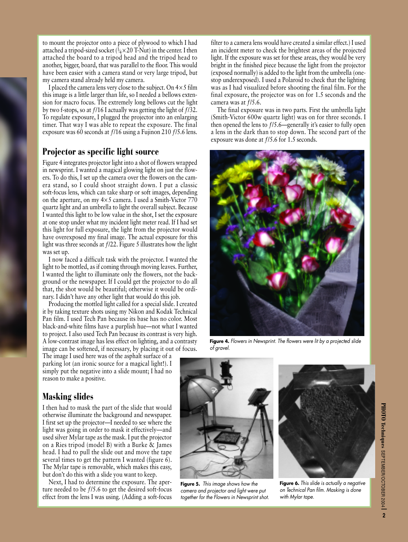to mount the projector onto a piece of plywood to which I had attached a tripod-sized socket ( $\frac{1}{4} \times 20$  T-Nut) in the center. I then attached the board to a tripod head and the tripod head to another, bigger, board, that was parallel to the floor. This would have been easier with a camera stand or very large tripod, but my camera stand already held my camera.

I placed the camera lens very close to the subject. On  $4 \times 5$  film this image is a little larger than life, so I needed a bellows extension for macro focus. The extremely long bellows cut the light by two f-stops, so at  $f/16$  I actually was getting the light of  $f/32$ . To regulate exposure, I plugged the projector into an enlarging timer. That way I was able to repeat the exposure. The final exposure was 60 seconds at ƒ/16 using a Fujinon 210 ƒ/5.6 lens.

#### **Projector as specific light source**

Figure 4 integrates projector light into a shot of flowers wrapped in newsprint. I wanted a magical glowing light on just the flowers. To do this, I set up the camera over the flowers on the camera stand, so I could shoot straight down. I put a classic soft-focus lens, which can take sharp or soft images, depending on the aperture, on my  $4 \times 5$  camera. I used a Smith-Victor 770 quartz light and an umbrella to light the overall subject. Because I wanted this light to be low value in the shot, I set the exposure at one stop under what my incident light meter read. If I had set this light for full exposure, the light from the projector would have overexposed my final image. The actual exposure for this light was three seconds at ƒ/22. Figure 5 illustrates how the light was set up.

I now faced a difficult task with the projector. I wanted the light to be mottled, as if coming through moving leaves. Further, I wanted the light to illuminate only the flowers, not the background or the newspaper. If I could get the projector to do all that, the shot would be beautiful; otherwise it would be ordinary. I didn't have any other light that would do this job.

Producing the mottled light called for a special slide. I created it by taking texture shots using my Nikon and Kodak Technical Pan film. I used Tech Pan because its base has no color. Most black-and-white films have a purplish hue—not what I wanted to project. I also used Tech Pan because its contrast is very high. A low-contrast image has less effect on lighting, and a contrasty image can be softened, if necessary, by placing it out of focus.

The image I used here was of the asphalt surface of a parking lot (an ironic source for a magical light!). I simply put the negative into a slide mount; I had no reason to make a positive.

### **Masking slides**

I then had to mask the part of the slide that would otherwise illuminate the background and newspaper. I first set up the projector—I needed to see where the light was going in order to mask it effectively—and used silver Mylar tape as the mask. I put the projector on a Ries tripod (model B) with a Burke & James head. I had to pull the slide out and move the tape several times to get the pattern I wanted (figure 6). The Mylar tape is removable, which makes this easy, but don't do this with a slide you want to keep.

Next, I had to determine the exposure. The aperture needed to be ƒ/5.6 to get the desired soft-focus effect from the lens I was using. (Adding a soft-focus filter to a camera lens would have created a similar effect.) I used an incident meter to check the brightest areas of the projected light. If the exposure was set for these areas, they would be very bright in the finished piece because the light from the projector (exposed normally) is added to the light from the umbrella (onestop underexposed). I used a Polaroid to check that the lighting was as I had visualized before shooting the final film. For the final exposure, the projector was on for 1.5 seconds and the camera was at  $f/5.6$ .

The final exposure was in two parts. First the umbrella light (Smith-Victor 600w quartz light) was on for three seconds. I then opened the lens to ƒ/5.6—generally it's easier to fully open a lens in the dark than to stop down. The second part of the exposure was done at ƒ/5.6 for 1.5 seconds.



Figure 4. Flowers in Newsprint. The flowers were lit by a projected slide of gravel.



**Figure 5.** This image shows how the camera and projector and light were put together for the Flowers in Newsprint shot.



**Figure 6.** This slide is actually a negative on Technical Pan film. Masking is done with Mylar tape.